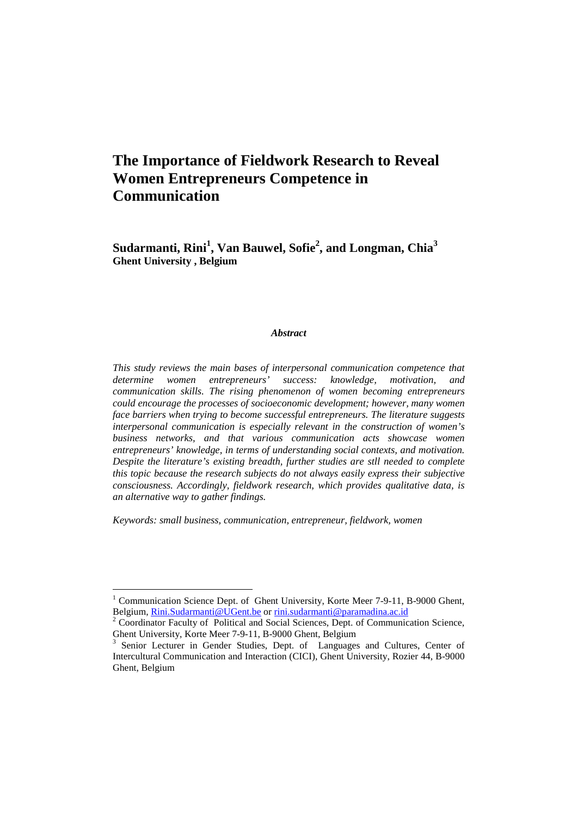# **The Importance of Fieldwork Research to Reveal Women Entrepreneurs Competence in Communication**

**Sudarmanti, Rini<sup>1</sup> , Van Bauwel, Sofie<sup>2</sup> , and Longman, Chia<sup>3</sup> Ghent University , Belgium** 

#### *Abstract*

*This study reviews the main bases of interpersonal communication competence that determine women entrepreneurs' success: knowledge, motivation, and communication skills. The rising phenomenon of women becoming entrepreneurs could encourage the processes of socioeconomic development; however, many women face barriers when trying to become successful entrepreneurs. The literature suggests interpersonal communication is especially relevant in the construction of women's business networks, and that various communication acts showcase women entrepreneurs' knowledge, in terms of understanding social contexts, and motivation. Despite the literature's existing breadth, further studies are stll needed to complete this topic because the research subjects do not always easily express their subjective consciousness. Accordingly, fieldwork research, which provides qualitative data, is an alternative way to gather findings.* 

*Keywords: small business, communication, entrepreneur, fieldwork, women* 

 $\overline{a}$ 

<sup>1</sup> Communication Science Dept. of Ghent University, Korte Meer 7-9-11, B-9000 Ghent, Belgium, Rini.Sudarmanti@UGent.be or rini.sudarmanti@paramadina.ac.id

<sup>&</sup>lt;sup>2</sup> Coordinator Faculty of Political and Social Sciences, Dept. of Communication Science, Ghent University, Korte Meer 7-9-11, B-9000 Ghent, Belgium

<sup>3</sup> Senior Lecturer in Gender Studies, Dept. of Languages and Cultures, Center of Intercultural Communication and Interaction (CICI), Ghent University, Rozier 44, B-9000 Ghent, Belgium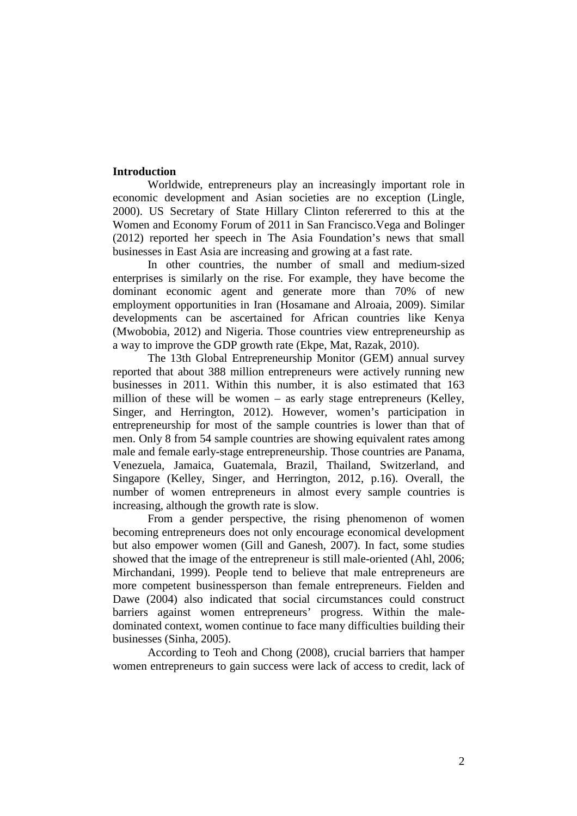## **Introduction**

 Worldwide, entrepreneurs play an increasingly important role in economic development and Asian societies are no exception (Lingle, 2000). US Secretary of State Hillary Clinton refererred to this at the Women and Economy Forum of 2011 in San Francisco.Vega and Bolinger (2012) reported her speech in The Asia Foundation's news that small businesses in East Asia are increasing and growing at a fast rate.

 In other countries, the number of small and medium-sized enterprises is similarly on the rise. For example, they have become the dominant economic agent and generate more than 70% of new employment opportunities in Iran (Hosamane and Alroaia, 2009). Similar developments can be ascertained for African countries like Kenya (Mwobobia, 2012) and Nigeria. Those countries view entrepreneurship as a way to improve the GDP growth rate (Ekpe, Mat, Razak, 2010).

 The 13th Global Entrepreneurship Monitor (GEM) annual survey reported that about 388 million entrepreneurs were actively running new businesses in 2011. Within this number, it is also estimated that 163 million of these will be women – as early stage entrepreneurs (Kelley, Singer, and Herrington, 2012). However, women's participation in entrepreneurship for most of the sample countries is lower than that of men. Only 8 from 54 sample countries are showing equivalent rates among male and female early-stage entrepreneurship. Those countries are Panama, Venezuela, Jamaica, Guatemala, Brazil, Thailand, Switzerland, and Singapore (Kelley, Singer, and Herrington, 2012, p.16). Overall, the number of women entrepreneurs in almost every sample countries is increasing, although the growth rate is slow.

 From a gender perspective, the rising phenomenon of women becoming entrepreneurs does not only encourage economical development but also empower women (Gill and Ganesh, 2007). In fact, some studies showed that the image of the entrepreneur is still male-oriented (Ahl, 2006; Mirchandani, 1999). People tend to believe that male entrepreneurs are more competent businessperson than female entrepreneurs. Fielden and Dawe (2004) also indicated that social circumstances could construct barriers against women entrepreneurs' progress. Within the maledominated context, women continue to face many difficulties building their businesses (Sinha, 2005).

 According to Teoh and Chong (2008), crucial barriers that hamper women entrepreneurs to gain success were lack of access to credit, lack of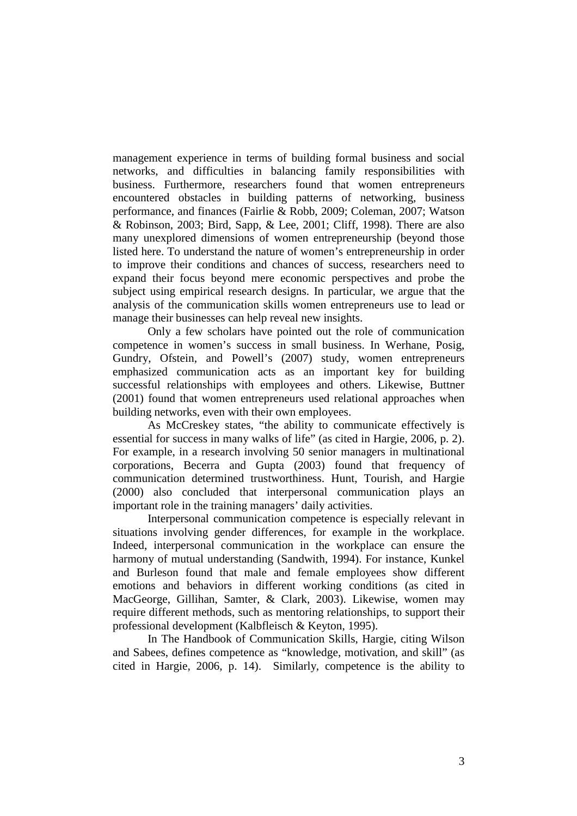management experience in terms of building formal business and social networks, and difficulties in balancing family responsibilities with business. Furthermore, researchers found that women entrepreneurs encountered obstacles in building patterns of networking, business performance, and finances (Fairlie & Robb, 2009; Coleman, 2007; Watson & Robinson, 2003; Bird, Sapp, & Lee, 2001; Cliff, 1998). There are also many unexplored dimensions of women entrepreneurship (beyond those listed here. To understand the nature of women's entrepreneurship in order to improve their conditions and chances of success, researchers need to expand their focus beyond mere economic perspectives and probe the subject using empirical research designs. In particular, we argue that the analysis of the communication skills women entrepreneurs use to lead or manage their businesses can help reveal new insights.

 Only a few scholars have pointed out the role of communication competence in women's success in small business. In Werhane, Posig, Gundry, Ofstein, and Powell's (2007) study, women entrepreneurs emphasized communication acts as an important key for building successful relationships with employees and others. Likewise, Buttner (2001) found that women entrepreneurs used relational approaches when building networks, even with their own employees.

 As McCreskey states, "the ability to communicate effectively is essential for success in many walks of life" (as cited in Hargie, 2006, p. 2). For example, in a research involving 50 senior managers in multinational corporations, Becerra and Gupta (2003) found that frequency of communication determined trustworthiness. Hunt, Tourish, and Hargie (2000) also concluded that interpersonal communication plays an important role in the training managers' daily activities.

 Interpersonal communication competence is especially relevant in situations involving gender differences, for example in the workplace. Indeed, interpersonal communication in the workplace can ensure the harmony of mutual understanding (Sandwith, 1994). For instance, Kunkel and Burleson found that male and female employees show different emotions and behaviors in different working conditions (as cited in MacGeorge, Gillihan, Samter, & Clark, 2003). Likewise, women may require different methods, such as mentoring relationships, to support their professional development (Kalbfleisch & Keyton, 1995).

 In The Handbook of Communication Skills, Hargie, citing Wilson and Sabees, defines competence as "knowledge, motivation, and skill" (as cited in Hargie, 2006, p. 14). Similarly, competence is the ability to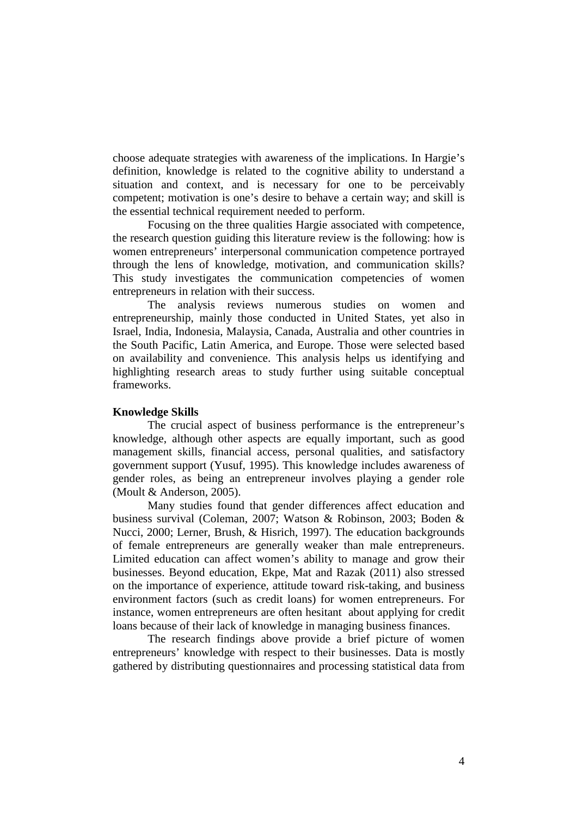choose adequate strategies with awareness of the implications. In Hargie's definition, knowledge is related to the cognitive ability to understand a situation and context, and is necessary for one to be perceivably competent; motivation is one's desire to behave a certain way; and skill is the essential technical requirement needed to perform.

 Focusing on the three qualities Hargie associated with competence, the research question guiding this literature review is the following: how is women entrepreneurs' interpersonal communication competence portrayed through the lens of knowledge, motivation, and communication skills? This study investigates the communication competencies of women entrepreneurs in relation with their success.

 The analysis reviews numerous studies on women and entrepreneurship, mainly those conducted in United States, yet also in Israel, India, Indonesia, Malaysia, Canada, Australia and other countries in the South Pacific, Latin America, and Europe. Those were selected based on availability and convenience. This analysis helps us identifying and highlighting research areas to study further using suitable conceptual frameworks.

#### **Knowledge Skills**

 The crucial aspect of business performance is the entrepreneur's knowledge, although other aspects are equally important, such as good management skills, financial access, personal qualities, and satisfactory government support (Yusuf, 1995). This knowledge includes awareness of gender roles, as being an entrepreneur involves playing a gender role (Moult & Anderson, 2005).

 Many studies found that gender differences affect education and business survival (Coleman, 2007; Watson & Robinson, 2003; Boden & Nucci, 2000; Lerner, Brush, & Hisrich, 1997). The education backgrounds of female entrepreneurs are generally weaker than male entrepreneurs. Limited education can affect women's ability to manage and grow their businesses. Beyond education, Ekpe, Mat and Razak (2011) also stressed on the importance of experience, attitude toward risk-taking, and business environment factors (such as credit loans) for women entrepreneurs. For instance, women entrepreneurs are often hesitant about applying for credit loans because of their lack of knowledge in managing business finances.

The research findings above provide a brief picture of women entrepreneurs' knowledge with respect to their businesses. Data is mostly gathered by distributing questionnaires and processing statistical data from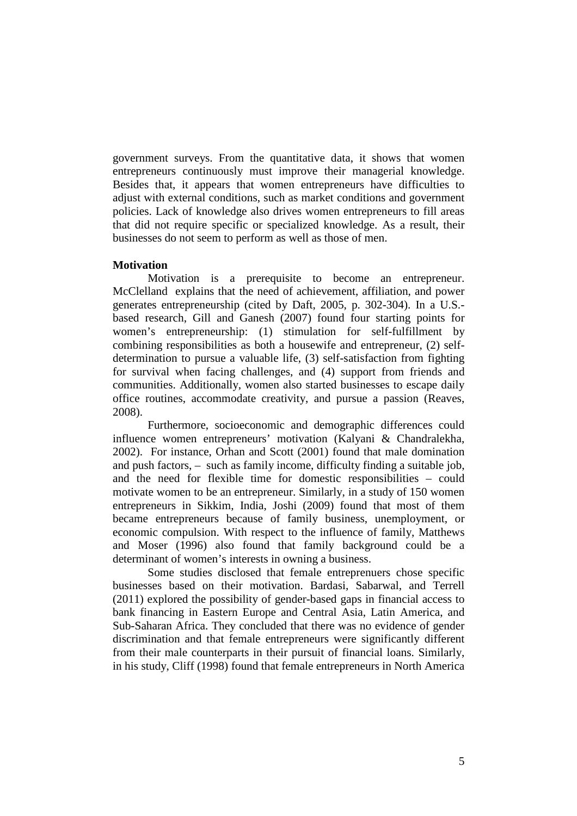government surveys. From the quantitative data, it shows that women entrepreneurs continuously must improve their managerial knowledge. Besides that, it appears that women entrepreneurs have difficulties to adjust with external conditions, such as market conditions and government policies. Lack of knowledge also drives women entrepreneurs to fill areas that did not require specific or specialized knowledge. As a result, their businesses do not seem to perform as well as those of men.

## **Motivation**

Motivation is a prerequisite to become an entrepreneur. McClelland explains that the need of achievement, affiliation, and power generates entrepreneurship (cited by Daft, 2005, p. 302-304). In a U.S. based research, Gill and Ganesh (2007) found four starting points for women's entrepreneurship: (1) stimulation for self-fulfillment by combining responsibilities as both a housewife and entrepreneur, (2) selfdetermination to pursue a valuable life, (3) self-satisfaction from fighting for survival when facing challenges, and (4) support from friends and communities. Additionally, women also started businesses to escape daily office routines, accommodate creativity, and pursue a passion (Reaves, 2008).

Furthermore, socioeconomic and demographic differences could influence women entrepreneurs' motivation (Kalyani & Chandralekha, 2002). For instance, Orhan and Scott (2001) found that male domination and push factors, – such as family income, difficulty finding a suitable job, and the need for flexible time for domestic responsibilities – could motivate women to be an entrepreneur. Similarly, in a study of 150 women entrepreneurs in Sikkim, India, Joshi (2009) found that most of them became entrepreneurs because of family business, unemployment, or economic compulsion. With respect to the influence of family, Matthews and Moser (1996) also found that family background could be a determinant of women's interests in owning a business.

Some studies disclosed that female entreprenuers chose specific businesses based on their motivation. Bardasi, Sabarwal, and Terrell (2011) explored the possibility of gender-based gaps in financial access to bank financing in Eastern Europe and Central Asia, Latin America, and Sub-Saharan Africa. They concluded that there was no evidence of gender discrimination and that female entrepreneurs were significantly different from their male counterparts in their pursuit of financial loans. Similarly, in his study, Cliff (1998) found that female entrepreneurs in North America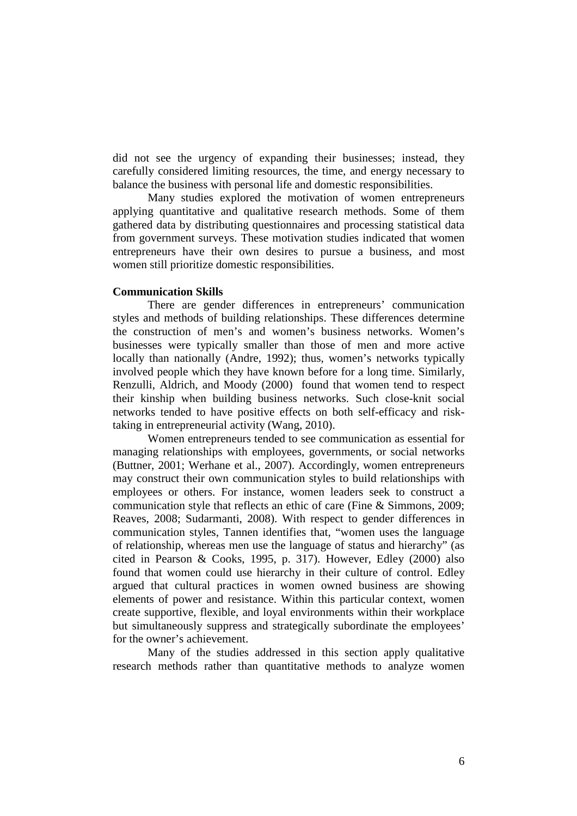did not see the urgency of expanding their businesses; instead, they carefully considered limiting resources, the time, and energy necessary to balance the business with personal life and domestic responsibilities.

Many studies explored the motivation of women entrepreneurs applying quantitative and qualitative research methods. Some of them gathered data by distributing questionnaires and processing statistical data from government surveys. These motivation studies indicated that women entrepreneurs have their own desires to pursue a business, and most women still prioritize domestic responsibilities.

#### **Communication Skills**

 There are gender differences in entrepreneurs' communication styles and methods of building relationships. These differences determine the construction of men's and women's business networks. Women's businesses were typically smaller than those of men and more active locally than nationally (Andre, 1992); thus, women's networks typically involved people which they have known before for a long time. Similarly, Renzulli, Aldrich, and Moody (2000) found that women tend to respect their kinship when building business networks. Such close-knit social networks tended to have positive effects on both self-efficacy and risktaking in entrepreneurial activity (Wang, 2010).

 Women entrepreneurs tended to see communication as essential for managing relationships with employees, governments, or social networks (Buttner, 2001; Werhane et al., 2007). Accordingly, women entrepreneurs may construct their own communication styles to build relationships with employees or others. For instance, women leaders seek to construct a communication style that reflects an ethic of care (Fine & Simmons, 2009; Reaves, 2008; Sudarmanti, 2008). With respect to gender differences in communication styles, Tannen identifies that, "women uses the language of relationship, whereas men use the language of status and hierarchy" (as cited in Pearson & Cooks, 1995, p. 317). However, Edley (2000) also found that women could use hierarchy in their culture of control. Edley argued that cultural practices in women owned business are showing elements of power and resistance. Within this particular context, women create supportive, flexible, and loyal environments within their workplace but simultaneously suppress and strategically subordinate the employees' for the owner's achievement.

Many of the studies addressed in this section apply qualitative research methods rather than quantitative methods to analyze women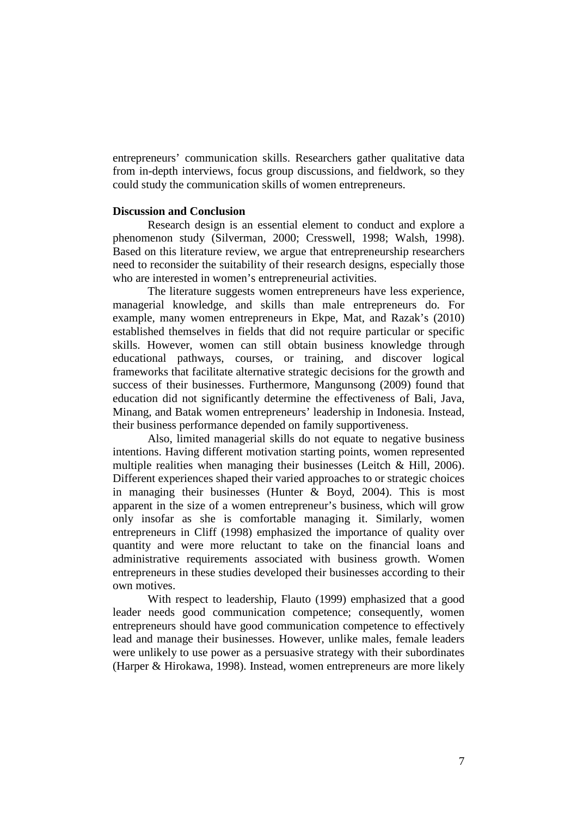entrepreneurs' communication skills. Researchers gather qualitative data from in-depth interviews, focus group discussions, and fieldwork, so they could study the communication skills of women entrepreneurs.

## **Discussion and Conclusion**

Research design is an essential element to conduct and explore a phenomenon study (Silverman, 2000; Cresswell, 1998; Walsh, 1998). Based on this literature review, we argue that entrepreneurship researchers need to reconsider the suitability of their research designs, especially those who are interested in women's entrepreneurial activities.

 The literature suggests women entrepreneurs have less experience, managerial knowledge, and skills than male entrepreneurs do. For example, many women entrepreneurs in Ekpe, Mat, and Razak's (2010) established themselves in fields that did not require particular or specific skills. However, women can still obtain business knowledge through educational pathways, courses, or training, and discover logical frameworks that facilitate alternative strategic decisions for the growth and success of their businesses. Furthermore, Mangunsong (2009) found that education did not significantly determine the effectiveness of Bali, Java, Minang, and Batak women entrepreneurs' leadership in Indonesia. Instead, their business performance depended on family supportiveness.

 Also, limited managerial skills do not equate to negative business intentions. Having different motivation starting points, women represented multiple realities when managing their businesses (Leitch & Hill, 2006). Different experiences shaped their varied approaches to or strategic choices in managing their businesses (Hunter & Boyd, 2004). This is most apparent in the size of a women entrepreneur's business, which will grow only insofar as she is comfortable managing it. Similarly, women entrepreneurs in Cliff (1998) emphasized the importance of quality over quantity and were more reluctant to take on the financial loans and administrative requirements associated with business growth. Women entrepreneurs in these studies developed their businesses according to their own motives.

 With respect to leadership, Flauto (1999) emphasized that a good leader needs good communication competence; consequently, women entrepreneurs should have good communication competence to effectively lead and manage their businesses. However, unlike males, female leaders were unlikely to use power as a persuasive strategy with their subordinates (Harper & Hirokawa, 1998). Instead, women entrepreneurs are more likely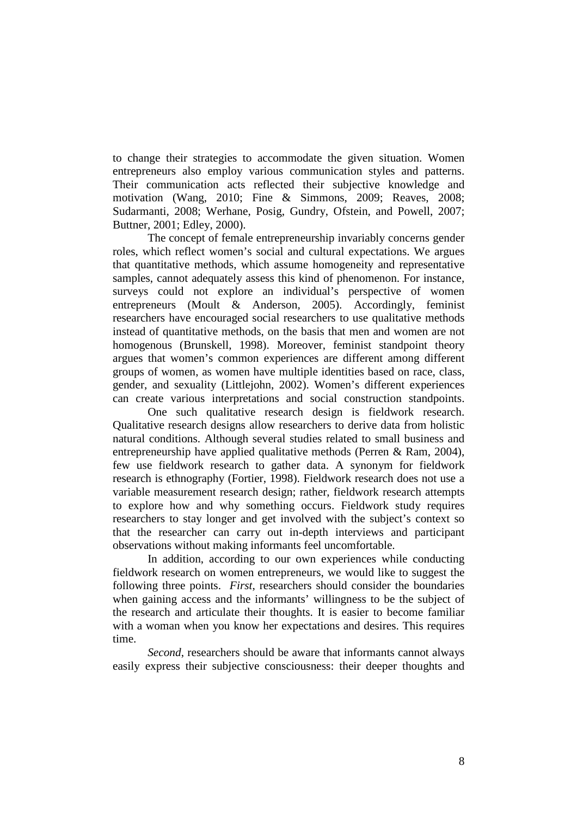to change their strategies to accommodate the given situation. Women entrepreneurs also employ various communication styles and patterns. Their communication acts reflected their subjective knowledge and motivation (Wang, 2010; Fine & Simmons, 2009; Reaves, 2008; Sudarmanti, 2008; Werhane, Posig, Gundry, Ofstein, and Powell, 2007; Buttner, 2001; Edley, 2000).

 The concept of female entrepreneurship invariably concerns gender roles, which reflect women's social and cultural expectations. We argues that quantitative methods, which assume homogeneity and representative samples, cannot adequately assess this kind of phenomenon. For instance, surveys could not explore an individual's perspective of women entrepreneurs (Moult & Anderson, 2005). Accordingly, feminist researchers have encouraged social researchers to use qualitative methods instead of quantitative methods, on the basis that men and women are not homogenous (Brunskell, 1998). Moreover, feminist standpoint theory argues that women's common experiences are different among different groups of women, as women have multiple identities based on race, class, gender, and sexuality (Littlejohn, 2002). Women's different experiences can create various interpretations and social construction standpoints.

 One such qualitative research design is fieldwork research. Qualitative research designs allow researchers to derive data from holistic natural conditions. Although several studies related to small business and entrepreneurship have applied qualitative methods (Perren & Ram, 2004), few use fieldwork research to gather data. A synonym for fieldwork research is ethnography (Fortier, 1998). Fieldwork research does not use a variable measurement research design; rather, fieldwork research attempts to explore how and why something occurs. Fieldwork study requires researchers to stay longer and get involved with the subject's context so that the researcher can carry out in-depth interviews and participant observations without making informants feel uncomfortable.

In addition, according to our own experiences while conducting fieldwork research on women entrepreneurs, we would like to suggest the following three points. *First*, researchers should consider the boundaries when gaining access and the informants' willingness to be the subject of the research and articulate their thoughts. It is easier to become familiar with a woman when you know her expectations and desires. This requires time.

*Second*, researchers should be aware that informants cannot always easily express their subjective consciousness: their deeper thoughts and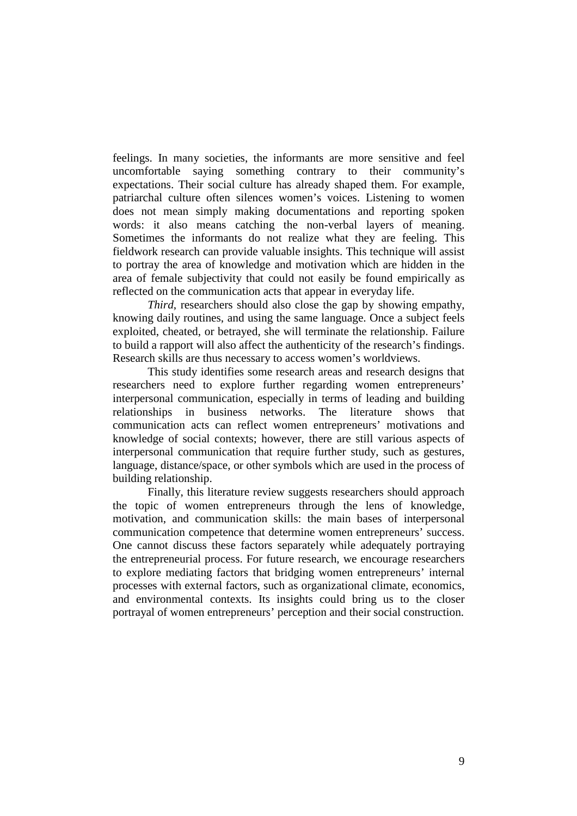feelings. In many societies, the informants are more sensitive and feel uncomfortable saying something contrary to their community's expectations. Their social culture has already shaped them. For example, patriarchal culture often silences women's voices. Listening to women does not mean simply making documentations and reporting spoken words: it also means catching the non-verbal layers of meaning. Sometimes the informants do not realize what they are feeling. This fieldwork research can provide valuable insights. This technique will assist to portray the area of knowledge and motivation which are hidden in the area of female subjectivity that could not easily be found empirically as reflected on the communication acts that appear in everyday life.

*Third*, researchers should also close the gap by showing empathy, knowing daily routines, and using the same language. Once a subject feels exploited, cheated, or betrayed, she will terminate the relationship. Failure to build a rapport will also affect the authenticity of the research's findings. Research skills are thus necessary to access women's worldviews.

 This study identifies some research areas and research designs that researchers need to explore further regarding women entrepreneurs' interpersonal communication, especially in terms of leading and building relationships in business networks. The literature shows that communication acts can reflect women entrepreneurs' motivations and knowledge of social contexts; however, there are still various aspects of interpersonal communication that require further study, such as gestures, language, distance/space, or other symbols which are used in the process of building relationship.

 Finally, this literature review suggests researchers should approach the topic of women entrepreneurs through the lens of knowledge, motivation, and communication skills: the main bases of interpersonal communication competence that determine women entrepreneurs' success. One cannot discuss these factors separately while adequately portraying the entrepreneurial process. For future research, we encourage researchers to explore mediating factors that bridging women entrepreneurs' internal processes with external factors, such as organizational climate, economics, and environmental contexts. Its insights could bring us to the closer portrayal of women entrepreneurs' perception and their social construction.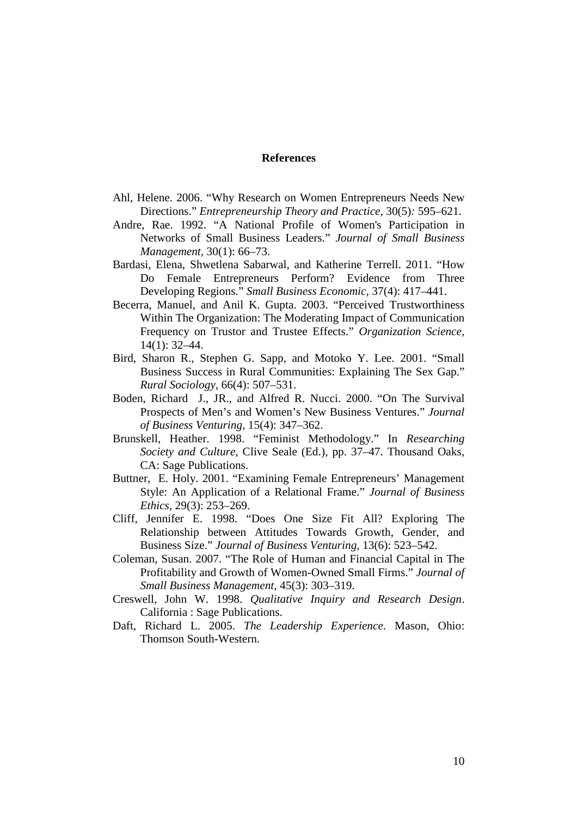#### **References**

- Ahl, Helene. 2006. "Why Research on Women Entrepreneurs Needs New Directions." *Entrepreneurship Theory and Practice,* 30(5)*:* 595–621.
- Andre, Rae. 1992. "A National Profile of Women's Participation in Networks of Small Business Leaders." *Journal of Small Business Management,* 30(1): 66–73.
- Bardasi, Elena, Shwetlena Sabarwal, and Katherine Terrell. 2011. "How Do Female Entrepreneurs Perform? Evidence from Three Developing Regions." *Small Business Economic,* 37(4): 417–441.
- Becerra, Manuel, and Anil K. Gupta. 2003. "Perceived Trustworthiness Within The Organization: The Moderating Impact of Communication Frequency on Trustor and Trustee Effects." *Organization Science,*  14(1): 32–44.
- Bird, Sharon R., Stephen G. Sapp, and Motoko Y. Lee. 2001. "Small Business Success in Rural Communities: Explaining The Sex Gap." *Rural Sociology,* 66(4): 507–531.
- Boden, Richard J., JR., and Alfred R. Nucci. 2000. "On The Survival Prospects of Men's and Women's New Business Ventures." *Journal of Business Venturing*, 15(4): 347–362.
- Brunskell, Heather. 1998. "Feminist Methodology." In *Researching Society and Culture*, Clive Seale (Ed.), pp. 37–47. Thousand Oaks, CA: Sage Publications.
- Buttner, E. Holy. 2001. "Examining Female Entrepreneurs' Management Style: An Application of a Relational Frame." *Journal of Business Ethics,* 29(3): 253–269.
- Cliff, Jennifer E. 1998. "Does One Size Fit All? Exploring The Relationship between Attitudes Towards Growth, Gender, and Business Size." *Journal of Business Venturing,* 13(6): 523–542.
- Coleman, Susan. 2007. "The Role of Human and Financial Capital in The Profitability and Growth of Women-Owned Small Firms." *Journal of Small Business Management,* 45(3): 303–319.
- Creswell, John W. 1998. *Qualitative Inquiry and Research Design*. California : Sage Publications.
- Daft, Richard L. 2005. *The Leadership Experience*. Mason, Ohio: Thomson South-Western.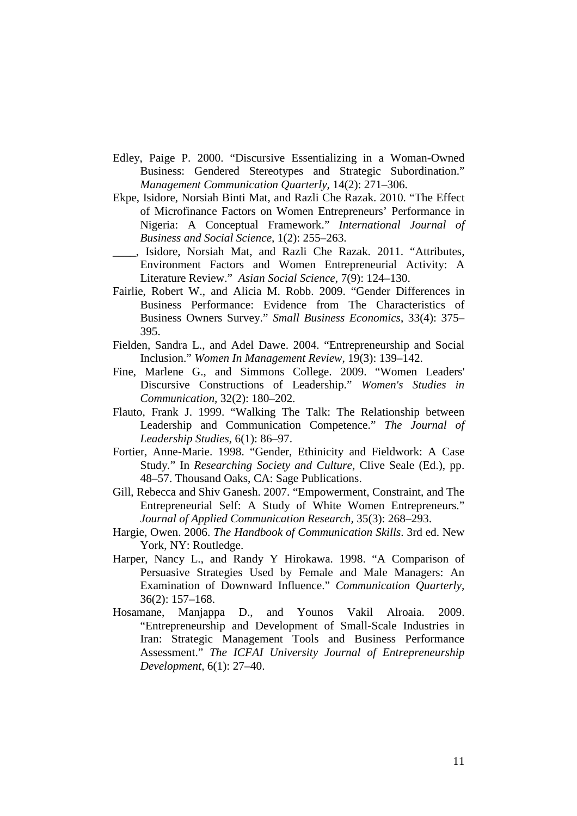- Edley, Paige P. 2000. "Discursive Essentializing in a Woman-Owned Business: Gendered Stereotypes and Strategic Subordination." *Management Communication Quarterly,* 14(2): 271–306.
- Ekpe, Isidore, Norsiah Binti Mat, and Razli Che Razak. 2010. "The Effect of Microfinance Factors on Women Entrepreneurs' Performance in Nigeria: A Conceptual Framework." *International Journal of Business and Social Science,* 1(2): 255–263.
- \_\_\_\_, Isidore, Norsiah Mat, and Razli Che Razak. 2011. "Attributes, Environment Factors and Women Entrepreneurial Activity: A Literature Review." *Asian Social Science,* 7(9): 124–130.
- Fairlie, Robert W., and Alicia M. Robb. 2009. "Gender Differences in Business Performance: Evidence from The Characteristics of Business Owners Survey." *Small Business Economics*, 33(4): 375– 395.
- Fielden, Sandra L., and Adel Dawe. 2004. "Entrepreneurship and Social Inclusion." *Women In Management Review*, 19(3): 139–142.
- Fine, Marlene G., and Simmons College. 2009. "Women Leaders' Discursive Constructions of Leadership." *Women's Studies in Communication,* 32(2): 180–202.
- Flauto, Frank J. 1999. "Walking The Talk: The Relationship between Leadership and Communication Competence." *The Journal of Leadership Studies,* 6(1): 86–97.
- Fortier, Anne-Marie. 1998. "Gender, Ethinicity and Fieldwork: A Case Study." In *Researching Society and Culture*, Clive Seale (Ed.), pp. 48–57. Thousand Oaks, CA: Sage Publications.
- Gill, Rebecca and Shiv Ganesh. 2007. "Empowerment, Constraint, and The Entrepreneurial Self: A Study of White Women Entrepreneurs." *Journal of Applied Communication Research,* 35(3): 268–293.
- Hargie, Owen. 2006. *The Handbook of Communication Skills*. 3rd ed. New York, NY: Routledge.
- Harper, Nancy L., and Randy Y Hirokawa. 1998. "A Comparison of Persuasive Strategies Used by Female and Male Managers: An Examination of Downward Influence." *Communication Quarterly,*  36(2): 157–168.
- Hosamane, Manjappa D., and Younos Vakil Alroaia. 2009. "Entrepreneurship and Development of Small-Scale Industries in Iran: Strategic Management Tools and Business Performance Assessment." *The ICFAI University Journal of Entrepreneurship Development,* 6(1): 27–40.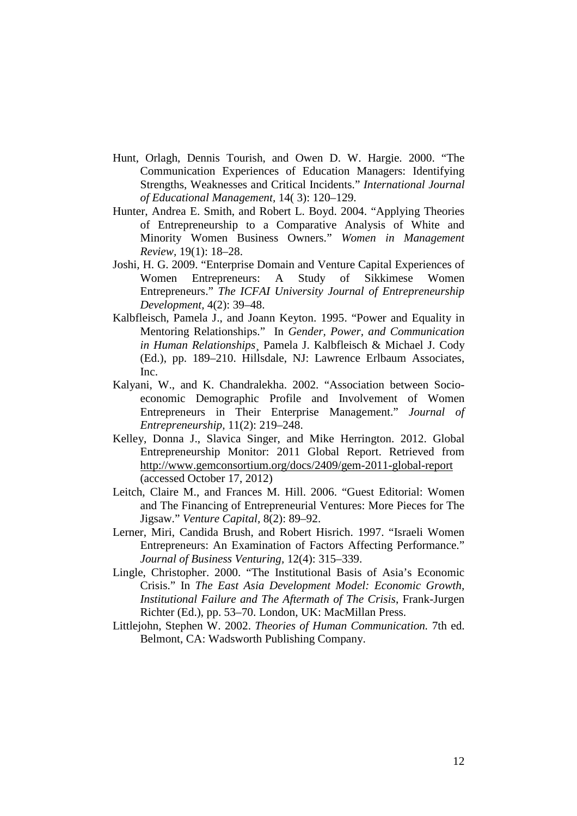- Hunt, Orlagh, Dennis Tourish, and Owen D. W. Hargie. 2000. "The Communication Experiences of Education Managers: Identifying Strengths, Weaknesses and Critical Incidents." *International Journal of Educational Management,* 14( 3): 120–129.
- Hunter, Andrea E. Smith, and Robert L. Boyd. 2004. "Applying Theories of Entrepreneurship to a Comparative Analysis of White and Minority Women Business Owners." *Women in Management Review,* 19(1): 18–28.
- Joshi, H. G. 2009. "Enterprise Domain and Venture Capital Experiences of Women Entrepreneurs: A Study of Sikkimese Women Entrepreneurs." *The ICFAI University Journal of Entrepreneurship Development,* 4(2): 39–48.
- Kalbfleisch, Pamela J., and Joann Keyton. 1995. "Power and Equality in Mentoring Relationships." In *Gender, Power, and Communication in Human Relationships*¸ Pamela J. Kalbfleisch & Michael J. Cody (Ed.), pp. 189–210. Hillsdale, NJ: Lawrence Erlbaum Associates, Inc.
- Kalyani, W., and K. Chandralekha. 2002. "Association between Socioeconomic Demographic Profile and Involvement of Women Entrepreneurs in Their Enterprise Management." *Journal of Entrepreneurship,* 11(2): 219–248.
- Kelley, Donna J., Slavica Singer, and Mike Herrington. 2012. Global Entrepreneurship Monitor: 2011 Global Report. Retrieved from http://www.gemconsortium.org/docs/2409/gem-2011-global-report (accessed October 17, 2012)
- Leitch, Claire M., and Frances M. Hill. 2006. "Guest Editorial: Women and The Financing of Entrepreneurial Ventures: More Pieces for The Jigsaw." *Venture Capital,* 8(2): 89–92.
- Lerner, Miri, Candida Brush, and Robert Hisrich. 1997. "Israeli Women Entrepreneurs: An Examination of Factors Affecting Performance." *Journal of Business Venturing,* 12(4): 315–339.
- Lingle, Christopher. 2000. "The Institutional Basis of Asia's Economic Crisis." In *The East Asia Development Model: Economic Growth, Institutional Failure and The Aftermath of The Crisis*, Frank-Jurgen Richter (Ed.), pp. 53–70. London, UK: MacMillan Press.
- Littlejohn, Stephen W. 2002. *Theories of Human Communication.* 7th ed. Belmont, CA: Wadsworth Publishing Company.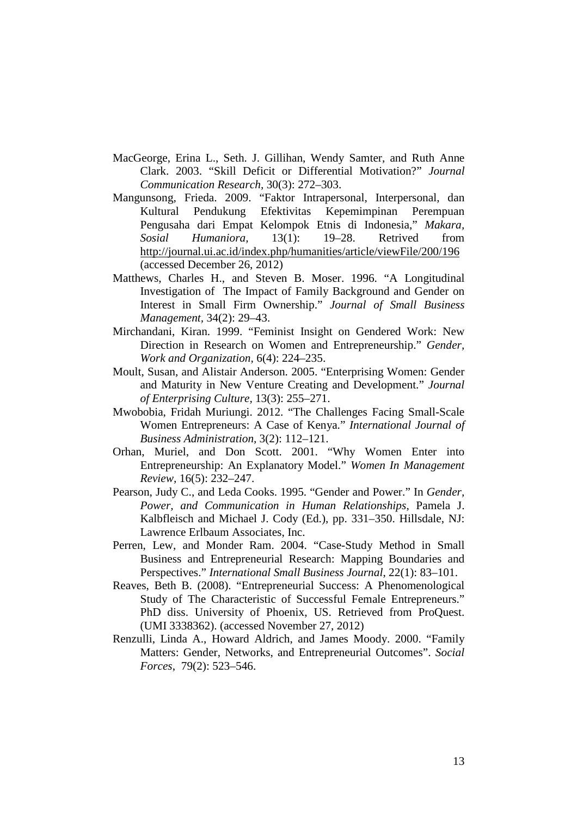- MacGeorge, Erina L., Seth. J. Gillihan, Wendy Samter, and Ruth Anne Clark. 2003. "Skill Deficit or Differential Motivation?" *Journal Communication Research,* 30(3): 272–303.
- Mangunsong, Frieda. 2009. "Faktor Intrapersonal, Interpersonal, dan Kultural Pendukung Efektivitas Kepemimpinan Perempuan Pengusaha dari Empat Kelompok Etnis di Indonesia," *Makara, Sosial Humaniora,* 13(1): 19–28. Retrived from http://journal.ui.ac.id/index.php/humanities/article/viewFile/200/196 (accessed December 26, 2012)
- Matthews, Charles H., and Steven B. Moser. 1996. "A Longitudinal Investigation of The Impact of Family Background and Gender on Interest in Small Firm Ownership." *Journal of Small Business Management,* 34(2): 29–43.
- Mirchandani, Kiran. 1999. "Feminist Insight on Gendered Work: New Direction in Research on Women and Entrepreneurship." *Gender, Work and Organization,* 6(4): 224–235.
- Moult, Susan, and Alistair Anderson. 2005. "Enterprising Women: Gender and Maturity in New Venture Creating and Development." *Journal of Enterprising Culture,* 13(3): 255–271.
- Mwobobia, Fridah Muriungi. 2012. "The Challenges Facing Small-Scale Women Entrepreneurs: A Case of Kenya." *International Journal of Business Administration,* 3(2): 112–121.
- Orhan, Muriel, and Don Scott. 2001. "Why Women Enter into Entrepreneurship: An Explanatory Model." *Women In Management Review,* 16(5): 232–247.
- Pearson, Judy C., and Leda Cooks. 1995. "Gender and Power." In *Gender, Power, and Communication in Human Relationships*, Pamela J. Kalbfleisch and Michael J. Cody (Ed.), pp. 331–350. Hillsdale, NJ: Lawrence Erlbaum Associates, Inc.
- Perren, Lew, and Monder Ram. 2004. "Case-Study Method in Small Business and Entrepreneurial Research: Mapping Boundaries and Perspectives." *International Small Business Journal*, 22(1): 83–101.
- Reaves, Beth B. (2008). "Entrepreneurial Success: A Phenomenological Study of The Characteristic of Successful Female Entrepreneurs." PhD diss. University of Phoenix, US. Retrieved from ProQuest. (UMI 3338362). (accessed November 27, 2012)
- Renzulli, Linda A., Howard Aldrich, and James Moody. 2000. "Family Matters: Gender, Networks, and Entrepreneurial Outcomes". *Social Forces*, 79(2): 523–546.